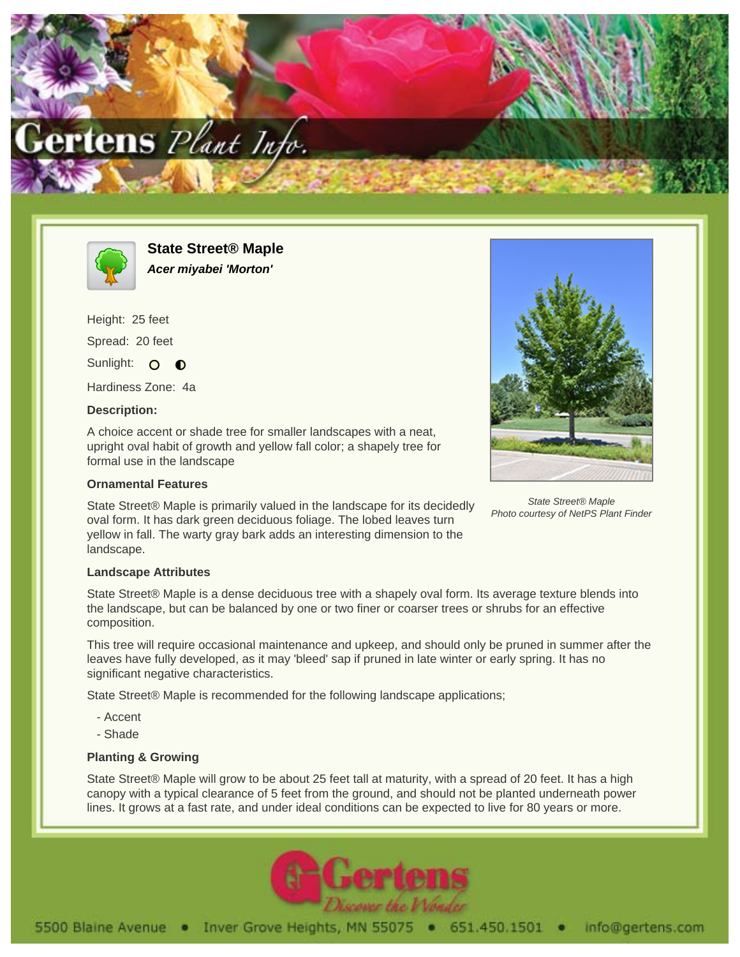



**State Street® Maple Acer miyabei 'Morton'**

Height: 25 feet Spread: 20 feet Sunlight: O  $\bullet$ 

Hardiness Zone: 4a

## **Description:**

A choice accent or shade tree for smaller landscapes with a neat, upright oval habit of growth and yellow fall color; a shapely tree for formal use in the landscape

## **Ornamental Features**

State Street® Maple is primarily valued in the landscape for its decidedly oval form. It has dark green deciduous foliage. The lobed leaves turn yellow in fall. The warty gray bark adds an interesting dimension to the landscape.



State Street® Maple Photo courtesy of NetPS Plant Finder

## **Landscape Attributes**

State Street® Maple is a dense deciduous tree with a shapely oval form. Its average texture blends into the landscape, but can be balanced by one or two finer or coarser trees or shrubs for an effective composition.

This tree will require occasional maintenance and upkeep, and should only be pruned in summer after the leaves have fully developed, as it may 'bleed' sap if pruned in late winter or early spring. It has no significant negative characteristics.

State Street® Maple is recommended for the following landscape applications;

- Accent
- Shade

## **Planting & Growing**

State Street® Maple will grow to be about 25 feet tall at maturity, with a spread of 20 feet. It has a high canopy with a typical clearance of 5 feet from the ground, and should not be planted underneath power lines. It grows at a fast rate, and under ideal conditions can be expected to live for 80 years or more.